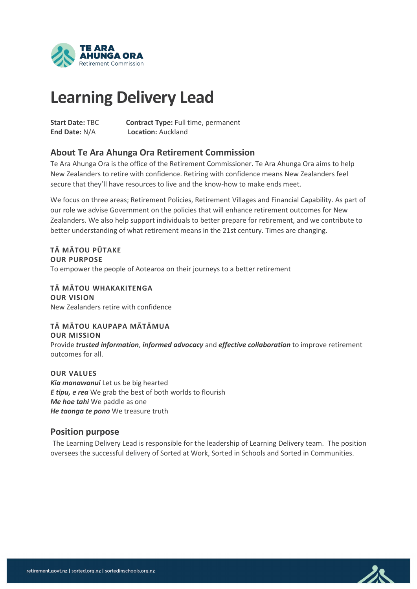

# **Learning Delivery Lead**

**Start Date:** TBC **Contract Type:** Full time, permanent **End Date:** N/A **Location:** Auckland

# **About Te Ara Ahunga Ora Retirement Commission**

Te Ara Ahunga Ora is the office of the Retirement Commissioner. Te Ara Ahunga Ora aims to help New Zealanders to retire with confidence. Retiring with confidence means New Zealanders feel secure that they'll have resources to live and the know-how to make ends meet.

We focus on three areas; Retirement Policies, Retirement Villages and Financial Capability. As part of our role we advise Government on the policies that will enhance retirement outcomes for New Zealanders. We also help support individuals to better prepare for retirement, and we contribute to better understanding of what retirement means in the 21st century. Times are changing.

**TĀ MĀTOU PŪTAKE OUR PURPOSE**  To empower the people of Aotearoa on their journeys to a better retirement

**TĀ MĀTOU WHAKAKITENGA OUR VISION** New Zealanders retire with confidence

**TĀ MĀTOU KAUPAPA MĀTĀMUA OUR MISSION** Provide *trusted information*, *informed advocacy* and *effective collaboration* to improve retirement outcomes for all.

**OUR VALUES** *Kia manawanui* Let us be big hearted *E tipu, e rea* We grab the best of both worlds to flourish *Me hoe tahi* We paddle as one *He taonga te pono* We treasure truth

#### **Position purpose**

The Learning Delivery Lead is responsible for the leadership of Learning Delivery team. The position oversees the successful delivery of Sorted at Work, Sorted in Schools and Sorted in Communities.

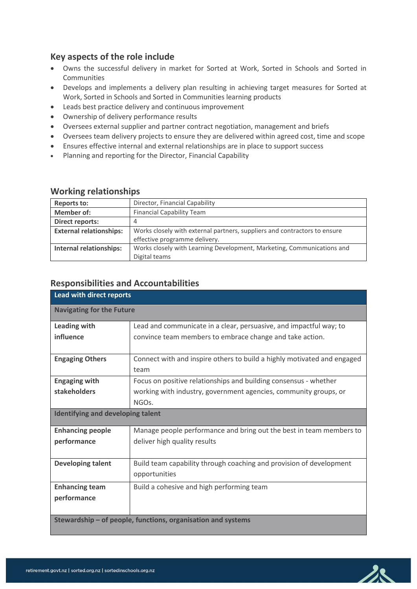# **Key aspects of the role include**

- Owns the successful delivery in market for Sorted at Work, Sorted in Schools and Sorted in Communities
- Develops and implements a delivery plan resulting in achieving target measures for Sorted at Work, Sorted in Schools and Sorted in Communities learning products
- Leads best practice delivery and continuous improvement
- Ownership of delivery performance results
- Oversees external supplier and partner contract negotiation, management and briefs
- Oversees team delivery projects to ensure they are delivered within agreed cost, time and scope
- Ensures effective internal and external relationships are in place to support success
- Planning and reporting for the Director, Financial Capability

#### **Working relationships**

| <b>Reports to:</b>             | Director, Financial Capability                                            |
|--------------------------------|---------------------------------------------------------------------------|
| Member of:                     | <b>Financial Capability Team</b>                                          |
| <b>Direct reports:</b>         |                                                                           |
| <b>External relationships:</b> | Works closely with external partners, suppliers and contractors to ensure |
|                                | effective programme delivery.                                             |
| <b>Internal relationships:</b> | Works closely with Learning Development, Marketing, Communications and    |
|                                | Digital teams                                                             |

#### **Responsibilities and Accountabilities**

| Lead with direct reports                                     |                                                                         |  |
|--------------------------------------------------------------|-------------------------------------------------------------------------|--|
| <b>Navigating for the Future</b>                             |                                                                         |  |
| Leading with                                                 | Lead and communicate in a clear, persuasive, and impactful way; to      |  |
| influence                                                    | convince team members to embrace change and take action.                |  |
|                                                              |                                                                         |  |
| <b>Engaging Others</b>                                       | Connect with and inspire others to build a highly motivated and engaged |  |
|                                                              | team                                                                    |  |
| <b>Engaging with</b>                                         | Focus on positive relationships and building consensus - whether        |  |
| stakeholders                                                 | working with industry, government agencies, community groups, or        |  |
|                                                              | NGO <sub>s</sub> .                                                      |  |
| <b>Identifying and developing talent</b>                     |                                                                         |  |
| <b>Enhancing people</b>                                      | Manage people performance and bring out the best in team members to     |  |
| performance                                                  | deliver high quality results                                            |  |
|                                                              |                                                                         |  |
| <b>Developing talent</b>                                     | Build team capability through coaching and provision of development     |  |
|                                                              | opportunities                                                           |  |
| <b>Enhancing team</b>                                        | Build a cohesive and high performing team                               |  |
| performance                                                  |                                                                         |  |
|                                                              |                                                                         |  |
| Stewardship – of people, functions, organisation and systems |                                                                         |  |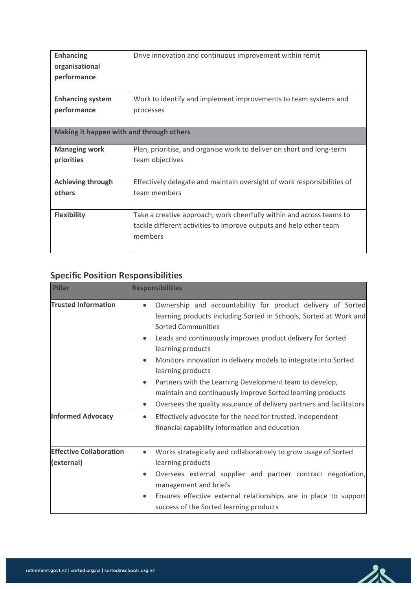| <b>Enhancing</b>                         | Drive innovation and continuous improvement within remit                |  |
|------------------------------------------|-------------------------------------------------------------------------|--|
| organisational                           |                                                                         |  |
| performance                              |                                                                         |  |
|                                          |                                                                         |  |
| <b>Enhancing system</b>                  | Work to identify and implement improvements to team systems and         |  |
| performance                              | processes                                                               |  |
|                                          |                                                                         |  |
| Making it happen with and through others |                                                                         |  |
|                                          |                                                                         |  |
| <b>Managing work</b>                     | Plan, prioritise, and organise work to deliver on short and long-term   |  |
| priorities                               | team objectives                                                         |  |
|                                          |                                                                         |  |
| <b>Achieving through</b>                 | Effectively delegate and maintain oversight of work responsibilities of |  |
| others                                   | team members                                                            |  |
|                                          |                                                                         |  |
| <b>Flexibility</b>                       | Take a creative approach; work cheerfully within and across teams to    |  |
|                                          | tackle different activities to improve outputs and help other team      |  |
|                                          | members                                                                 |  |
|                                          |                                                                         |  |

# **Specific Position Responsibilities**

| <b>Pillar</b>                                          | <b>Responsibilities</b>                                                                                                                                                                                                                                                                                                                                                                                                                                                                                                                                                                                                                                                                |  |
|--------------------------------------------------------|----------------------------------------------------------------------------------------------------------------------------------------------------------------------------------------------------------------------------------------------------------------------------------------------------------------------------------------------------------------------------------------------------------------------------------------------------------------------------------------------------------------------------------------------------------------------------------------------------------------------------------------------------------------------------------------|--|
| <b>Trusted Information</b><br><b>Informed Advocacy</b> | Ownership and accountability for product delivery of Sorted<br>$\bullet$<br>learning products including Sorted in Schools, Sorted at Work and<br><b>Sorted Communities</b><br>Leads and continuously improves product delivery for Sorted<br>$\bullet$<br>learning products<br>Monitors innovation in delivery models to integrate into Sorted<br>$\bullet$<br>learning products<br>Partners with the Learning Development team to develop,<br>$\bullet$<br>maintain and continuously improve Sorted learning products<br>Oversees the quality assurance of delivery partners and facilitators<br>$\bullet$<br>Effectively advocate for the need for trusted, independent<br>$\bullet$ |  |
|                                                        | financial capability information and education                                                                                                                                                                                                                                                                                                                                                                                                                                                                                                                                                                                                                                         |  |
| <b>Effective Collaboration</b><br>(external)           | Works strategically and collaboratively to grow usage of Sorted<br>$\bullet$<br>learning products<br>Oversees external supplier and partner contract negotiation,<br>$\bullet$<br>management and briefs<br>Ensures effective external relationships are in place to support<br>$\bullet$                                                                                                                                                                                                                                                                                                                                                                                               |  |
|                                                        | success of the Sorted learning products                                                                                                                                                                                                                                                                                                                                                                                                                                                                                                                                                                                                                                                |  |

 $28$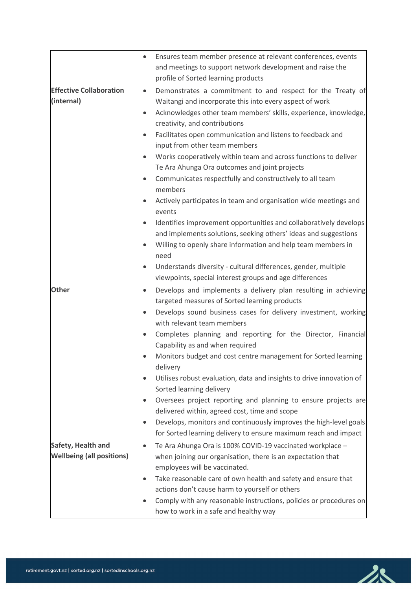|                                                        | $\bullet$              | Ensures team member presence at relevant conferences, events                                                                                                                                                                                                                                                                                                                                                                                                                                                                                                                                                                                                                                                                                                                                                                                                                        |
|--------------------------------------------------------|------------------------|-------------------------------------------------------------------------------------------------------------------------------------------------------------------------------------------------------------------------------------------------------------------------------------------------------------------------------------------------------------------------------------------------------------------------------------------------------------------------------------------------------------------------------------------------------------------------------------------------------------------------------------------------------------------------------------------------------------------------------------------------------------------------------------------------------------------------------------------------------------------------------------|
|                                                        |                        | and meetings to support network development and raise the                                                                                                                                                                                                                                                                                                                                                                                                                                                                                                                                                                                                                                                                                                                                                                                                                           |
|                                                        |                        | profile of Sorted learning products                                                                                                                                                                                                                                                                                                                                                                                                                                                                                                                                                                                                                                                                                                                                                                                                                                                 |
| <b>Effective Collaboration</b><br>(internal)           | $\bullet$              | Demonstrates a commitment to and respect for the Treaty of<br>Waitangi and incorporate this into every aspect of work<br>Acknowledges other team members' skills, experience, knowledge,<br>creativity, and contributions<br>Facilitates open communication and listens to feedback and<br>input from other team members<br>Works cooperatively within team and across functions to deliver<br>Te Ara Ahunga Ora outcomes and joint projects<br>Communicates respectfully and constructively to all team<br>members<br>Actively participates in team and organisation wide meetings and<br>events<br>Identifies improvement opportunities and collaboratively develops<br>and implements solutions, seeking others' ideas and suggestions<br>Willing to openly share information and help team members in<br>need<br>Understands diversity - cultural differences, gender, multiple |
| <b>Other</b>                                           | $\bullet$              | viewpoints, special interest groups and age differences<br>Develops and implements a delivery plan resulting in achieving<br>targeted measures of Sorted learning products                                                                                                                                                                                                                                                                                                                                                                                                                                                                                                                                                                                                                                                                                                          |
|                                                        | $\bullet$<br>$\bullet$ | Develops sound business cases for delivery investment, working<br>with relevant team members<br>Completes planning and reporting for the Director, Financial<br>Capability as and when required                                                                                                                                                                                                                                                                                                                                                                                                                                                                                                                                                                                                                                                                                     |
|                                                        |                        | Monitors budget and cost centre management for Sorted learning<br>delivery                                                                                                                                                                                                                                                                                                                                                                                                                                                                                                                                                                                                                                                                                                                                                                                                          |
|                                                        |                        | Utilises robust evaluation, data and insights to drive innovation of<br>Sorted learning delivery                                                                                                                                                                                                                                                                                                                                                                                                                                                                                                                                                                                                                                                                                                                                                                                    |
|                                                        | $\bullet$              | Oversees project reporting and planning to ensure projects are<br>delivered within, agreed cost, time and scope                                                                                                                                                                                                                                                                                                                                                                                                                                                                                                                                                                                                                                                                                                                                                                     |
|                                                        | $\bullet$              | Develops, monitors and continuously improves the high-level goals<br>for Sorted learning delivery to ensure maximum reach and impact                                                                                                                                                                                                                                                                                                                                                                                                                                                                                                                                                                                                                                                                                                                                                |
| Safety, Health and<br><b>Wellbeing (all positions)</b> | $\bullet$              | Te Ara Ahunga Ora is 100% COVID-19 vaccinated workplace -<br>when joining our organisation, there is an expectation that<br>employees will be vaccinated.                                                                                                                                                                                                                                                                                                                                                                                                                                                                                                                                                                                                                                                                                                                           |
|                                                        |                        | Take reasonable care of own health and safety and ensure that<br>actions don't cause harm to yourself or others<br>Comply with any reasonable instructions, policies or procedures on<br>how to work in a safe and healthy way                                                                                                                                                                                                                                                                                                                                                                                                                                                                                                                                                                                                                                                      |

 $28$